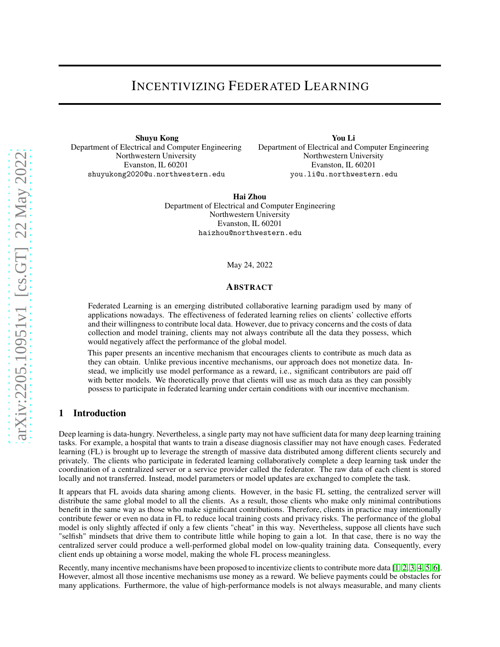# INCENTIVIZING FEDERATED LEARNING

Shuyu Kong Department of Electrical and Computer Engineering Northwestern University Evanston, IL 60201 shuyukong2020@u.northwestern.edu

You Li Department of Electrical and Computer Engineering Northwestern University Evanston, IL 60201 you.li@u.northwestern.edu

Hai Zhou Department of Electrical and Computer Engineering Northwestern University Evanston, IL 60201 haizhou@northwestern.edu

#### May 24, 2022

## ABSTRACT

Federated Learning is an emerging distributed collaborative learning paradigm used by many of applications nowadays. The effectiveness of federated learning relies on clients' collective efforts and their willingness to contribute local data. However, due to privacy concerns and the costs of data collection and model training, clients may not always contribute all the data they possess, which would negatively affect the performance of the global model.

This paper presents an incentive mechanism that encourages clients to contribute as much data as they can obtain. Unlike previous incentive mechanisms, our approach does not monetize data. Instead, we implicitly use model performance as a reward, i.e., significant contributors are paid off with better models. We theoretically prove that clients will use as much data as they can possibly possess to participate in federated learning under certain conditions with our incentive mechanism.

## 1 Introduction

Deep learning is data-hungry. Nevertheless, a single party may not have sufficient data for many deep learning training tasks. For example, a hospital that wants to train a disease diagnosis classifier may not have enough cases. Federated learning (FL) is brought up to leverage the strength of massive data distributed among different clients securely and privately. The clients who participate in federated learning collaboratively complete a deep learning task under the coordination of a centralized server or a service provider called the federator. The raw data of each client is stored locally and not transferred. Instead, model parameters or model updates are exchanged to complete the task.

It appears that FL avoids data sharing among clients. However, in the basic FL setting, the centralized server will distribute the same global model to all the clients. As a result, those clients who make only minimal contributions benefit in the same way as those who make significant contributions. Therefore, clients in practice may intentionally contribute fewer or even no data in FL to reduce local training costs and privacy risks. The performance of the global model is only slightly affected if only a few clients "cheat" in this way. Nevertheless, suppose all clients have such "selfish" mindsets that drive them to contribute little while hoping to gain a lot. In that case, there is no way the centralized server could produce a well-performed global model on low-quality training data. Consequently, every client ends up obtaining a worse model, making the whole FL process meaningless.

Recently, many incentive mechanisms have been proposed to incentivize clients to contribute more data [\[1,](#page-6-0) [2,](#page-6-1) [3,](#page-6-2) [4,](#page-6-3) [5,](#page-6-4) [6\]](#page-6-5). However, almost all those incentive mechanisms use money as a reward. We believe payments could be obstacles for many applications. Furthermore, the value of high-performance models is not always measurable, and many clients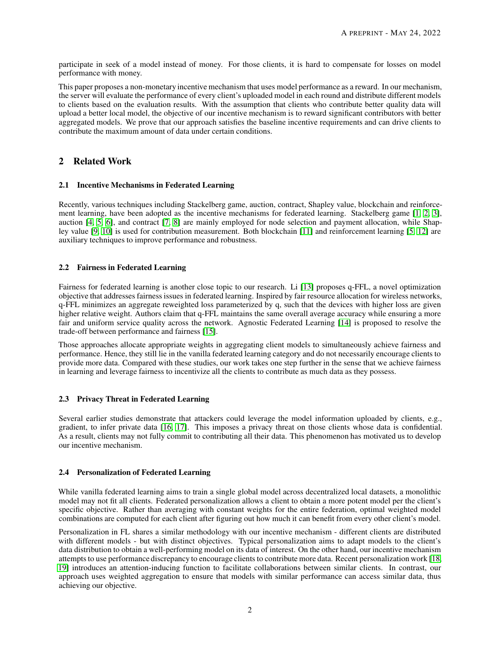participate in seek of a model instead of money. For those clients, it is hard to compensate for losses on model performance with money.

This paper proposes a non-monetary incentive mechanism that uses model performance as a reward. In our mechanism, the server will evaluate the performance of every client's uploaded model in each round and distribute different models to clients based on the evaluation results. With the assumption that clients who contribute better quality data will upload a better local model, the objective of our incentive mechanism is to reward significant contributors with better aggregated models. We prove that our approach satisfies the baseline incentive requirements and can drive clients to contribute the maximum amount of data under certain conditions.

# 2 Related Work

## 2.1 Incentive Mechanisms in Federated Learning

Recently, various techniques including Stackelberg game, auction, contract, Shapley value, blockchain and reinforcement learning, have been adopted as the incentive mechanisms for federated learning. Stackelberg game [\[1,](#page-6-0) [2,](#page-6-1) [3\]](#page-6-2), auction [\[4,](#page-6-3) [5,](#page-6-4) [6\]](#page-6-5), and contract [\[7,](#page-6-6) [8\]](#page-6-7) are mainly employed for node selection and payment allocation, while Shapley value [\[9,](#page-7-0) [10\]](#page-7-1) is used for contribution measurement. Both blockchain [\[11\]](#page-7-2) and reinforcement learning [\[5,](#page-6-4) [12\]](#page-7-3) are auxiliary techniques to improve performance and robustness.

## 2.2 Fairness in Federated Learning

Fairness for federated learning is another close topic to our research. Li [\[13\]](#page-7-4) proposes q-FFL, a novel optimization objective that addresses fairness issues in federated learning. Inspired by fair resource allocation for wireless networks, q-FFL minimizes an aggregate reweighted loss parameterized by q, such that the devices with higher loss are given higher relative weight. Authors claim that q-FFL maintains the same overall average accuracy while ensuring a more fair and uniform service quality across the network. Agnostic Federated Learning [\[14\]](#page-7-5) is proposed to resolve the trade-off between performance and fairness [\[15\]](#page-7-6).

Those approaches allocate appropriate weights in aggregating client models to simultaneously achieve fairness and performance. Hence, they still lie in the vanilla federated learning category and do not necessarily encourage clients to provide more data. Compared with these studies, our work takes one step further in the sense that we achieve fairness in learning and leverage fairness to incentivize all the clients to contribute as much data as they possess.

## 2.3 Privacy Threat in Federated Learning

Several earlier studies demonstrate that attackers could leverage the model information uploaded by clients, e.g., gradient, to infer private data [\[16,](#page-7-7) [17\]](#page-7-8). This imposes a privacy threat on those clients whose data is confidential. As a result, clients may not fully commit to contributing all their data. This phenomenon has motivated us to develop our incentive mechanism.

## 2.4 Personalization of Federated Learning

While vanilla federated learning aims to train a single global model across decentralized local datasets, a monolithic model may not fit all clients. Federated personalization allows a client to obtain a more potent model per the client's specific objective. Rather than averaging with constant weights for the entire federation, optimal weighted model combinations are computed for each client after figuring out how much it can benefit from every other client's model.

Personalization in FL shares a similar methodology with our incentive mechanism - different clients are distributed with different models - but with distinct objectives. Typical personalization aims to adapt models to the client's data distribution to obtain a well-performing model on its data of interest. On the other hand, our incentive mechanism attempts to use performance discrepancy to encourage clients to contribute more data. Recent personalization work [\[18,](#page-7-9) [19\]](#page-7-10) introduces an attention-inducing function to facilitate collaborations between similar clients. In contrast, our approach uses weighted aggregation to ensure that models with similar performance can access similar data, thus achieving our objective.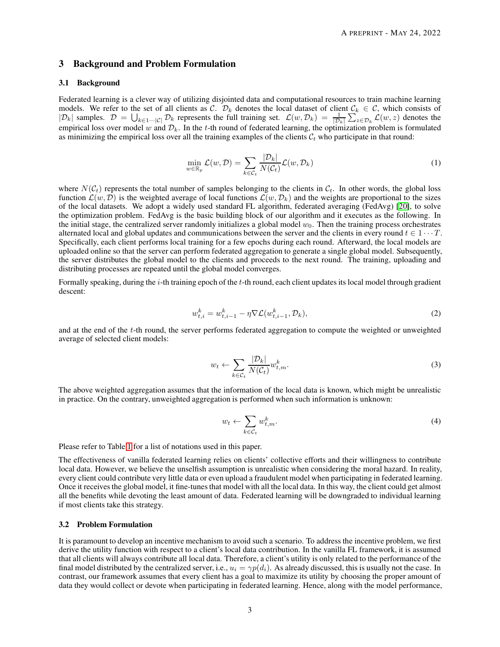## 3 Background and Problem Formulation

#### 3.1 Background

Federated learning is a clever way of utilizing disjointed data and computational resources to train machine learning models. We refer to the set of all clients as C.  $\mathcal{D}_k$  denotes the local dataset of client  $\mathcal{C}_k \in \mathcal{C}$ , which consists of  $|\mathcal{D}_k|$  samples.  $\mathcal{D} = \bigcup_{k \in 1 \cdots |\mathcal{C}|} \mathcal{D}_k$  represents the full training set.  $\mathcal{L}(w, \mathcal{D}_k) = \frac{1}{|\mathcal{D}_k|} \sum_{z \in \mathcal{D}_k} \mathcal{L}(w, z)$  denotes the empirical loss over model w and  $\mathcal{D}_k$ . In the t-th round of federated learning, the optimization problem is formulated as minimizing the empirical loss over all the training examples of the clients  $C_t$  who participate in that round:

$$
\min_{w \in \mathbb{R}_p} \mathcal{L}(w, \mathcal{D}) = \sum_{k \in \mathcal{C}_t} \frac{|\mathcal{D}_k|}{N(\mathcal{C}_t)} \mathcal{L}(w, \mathcal{D}_k)
$$
\n(1)

where  $N(\mathcal{C}_t)$  represents the total number of samples belonging to the clients in  $\mathcal{C}_t$ . In other words, the global loss function  $\mathcal{L}(w, \mathcal{D})$  is the weighted average of local functions  $\mathcal{L}(w, \mathcal{D}_k)$  and the weights are proportional to the sizes of the local datasets. We adopt a widely used standard FL algorithm, federated averaging (FedAvg) [\[20\]](#page-7-11), to solve the optimization problem. FedAvg is the basic building block of our algorithm and it executes as the following. In the initial stage, the centralized server randomly initializes a global model  $w_0$ . Then the training process orchestrates alternated local and global updates and communications between the server and the clients in every round  $t \in 1 \cdots T$ . Specifically, each client performs local training for a few epochs during each round. Afterward, the local models are uploaded online so that the server can perform federated aggregation to generate a single global model. Subsequently, the server distributes the global model to the clients and proceeds to the next round. The training, uploading and distributing processes are repeated until the global model converges.

Formally speaking, during the  $i$ -th training epoch of the  $t$ -th round, each client updates its local model through gradient descent:

$$
w_{t,i}^k = w_{t,i-1}^k - \eta \nabla \mathcal{L}(w_{t,i-1}^k, \mathcal{D}_k),\tag{2}
$$

and at the end of the t-th round, the server performs federated aggregation to compute the weighted or unweighted average of selected client models:

$$
w_t \leftarrow \sum_{k \in \mathcal{C}_t} \frac{|\mathcal{D}_k|}{N(\mathcal{C}_t)} w_{t,m}^k.
$$

The above weighted aggregation assumes that the information of the local data is known, which might be unrealistic in practice. On the contrary, unweighted aggregation is performed when such information is unknown:

$$
w_t \leftarrow \sum_{k \in \mathcal{C}_t} w_{t,m}^k. \tag{4}
$$

Please refer to Table [1](#page-7-12) for a list of notations used in this paper.

The effectiveness of vanilla federated learning relies on clients' collective efforts and their willingness to contribute local data. However, we believe the unselfish assumption is unrealistic when considering the moral hazard. In reality, every client could contribute very little data or even upload a fraudulent model when participating in federated learning. Once it receives the global model, it fine-tunes that model with all the local data. In this way, the client could get almost all the benefits while devoting the least amount of data. Federated learning will be downgraded to individual learning if most clients take this strategy.

## 3.2 Problem Formulation

It is paramount to develop an incentive mechanism to avoid such a scenario. To address the incentive problem, we first derive the utility function with respect to a client's local data contribution. In the vanilla FL framework, it is assumed that all clients will always contribute all local data. Therefore, a client's utility is only related to the performance of the final model distributed by the centralized server, i.e.,  $u_i = \gamma p(d_i)$ . As already discussed, this is usually not the case. In contrast, our framework assumes that every client has a goal to maximize its utility by choosing the proper amount of data they would collect or devote when participating in federated learning. Hence, along with the model performance,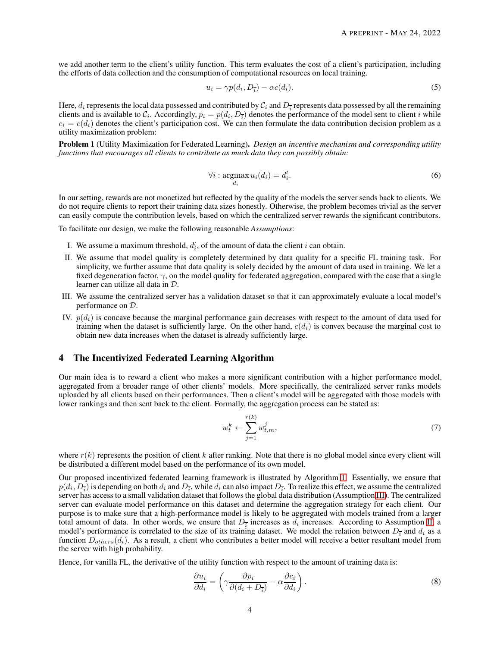we add another term to the client's utility function. This term evaluates the cost of a client's participation, including the efforts of data collection and the consumption of computational resources on local training.

$$
u_i = \gamma p(d_i, D_{\overline{i}}) - \alpha c(d_i). \tag{5}
$$

Here,  $d_i$  represents the local data possessed and contributed by  $\mathcal{C}_i$  and  $D_{\overline{i}}$  represents data possessed by all the remaining clients and is available to  $C_i$ . Accordingly,  $p_i = p(d_i, D_i)$  denotes the performance of the model sent to client i while  $c_i = c(d_i)$  denotes the client's participation cost. We can then formulate the data contribution decision problem as a utility maximization problem:

Problem 1 (Utility Maximization for Federated Learning). *Design an incentive mechanism and corresponding utility functions that encourages all clients to contribute as much data they can possibly obtain:*

$$
\forall i: \underset{d_i}{\text{argmax}} \, u_i(d_i) = d_i^t. \tag{6}
$$

In our setting, rewards are not monetized but reflected by the quality of the models the server sends back to clients. We do not require clients to report their training data sizes honestly. Otherwise, the problem becomes trivial as the server can easily compute the contribution levels, based on which the centralized server rewards the significant contributors.

To facilitate our design, we make the following reasonable *Assumptions*:

- <span id="page-3-1"></span>I. We assume a maximum threshold,  $d_i^t$ , of the amount of data the client i can obtain.
- II. We assume that model quality is completely determined by data quality for a specific FL training task. For simplicity, we further assume that data quality is solely decided by the amount of data used in training. We let a fixed degeneration factor,  $\gamma$ , on the model quality for federated aggregation, compared with the case that a single learner can utilize all data in D.
- <span id="page-3-0"></span>III. We assume the centralized server has a validation dataset so that it can approximately evaluate a local model's performance on D.
- <span id="page-3-3"></span>IV.  $p(d_i)$  is concave because the marginal performance gain decreases with respect to the amount of data used for training when the dataset is sufficiently large. On the other hand,  $c(d_i)$  is convex because the marginal cost to obtain new data increases when the dataset is already sufficiently large.

## 4 The Incentivized Federated Learning Algorithm

Our main idea is to reward a client who makes a more significant contribution with a higher performance model, aggregated from a broader range of other clients' models. More specifically, the centralized server ranks models uploaded by all clients based on their performances. Then a client's model will be aggregated with those models with lower rankings and then sent back to the client. Formally, the aggregation process can be stated as:

$$
w_t^k \leftarrow \sum_{j=1}^{r(k)} w_{t,m}^j,\tag{7}
$$

where  $r(k)$  represents the position of client k after ranking. Note that there is no global model since every client will be distributed a different model based on the performance of its own model.

Our proposed incentivized federated learning framework is illustrated by Algorithm [1.](#page-4-0) Essentially, we ensure that  $p(d_i, D_{\overline{i}})$  is depending on both  $d_i$  and  $D_{\overline{i}}$ , while  $d_i$  can also impact  $D_{\overline{i}}$ . To realize this effect, we assume the centralized server has access to a small validation dataset that follows the global data distribution (Assumption [III\)](#page-3-0). The centralized server can evaluate model performance on this dataset and determine the aggregation strategy for each client. Our purpose is to make sure that a high-performance model is likely to be aggregated with models trained from a larger total amount of data. In other words, we ensure that  $D_{\overline{i}}$  increases as  $d_i$  increases. According to Assumption [II,](#page-3-1) a model's performance is correlated to the size of its training dataset. We model the relation between  $D_{\overline{i}}$  and  $d_i$  as a function  $D_{others}(d_i)$ . As a result, a client who contributes a better model will receive a better resultant model from the server with high probability.

Hence, for vanilla FL, the derivative of the utility function with respect to the amount of training data is:

<span id="page-3-2"></span>
$$
\frac{\partial u_i}{\partial d_i} = \left(\gamma \frac{\partial p_i}{\partial (d_i + D_{\overline{i}})} - \alpha \frac{\partial c_i}{\partial d_i}\right).
$$
\n(8)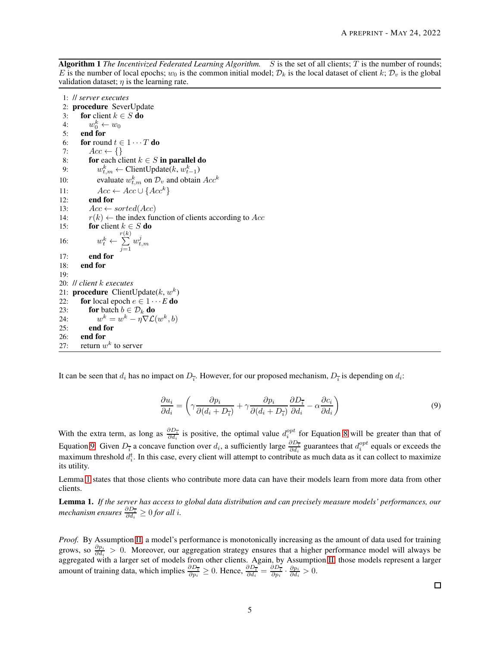Algorithm 1 *The Incentivized Federated Learning Algorithm.* S is the set of all clients; T is the number of rounds; E is the number of local epochs;  $w_0$  is the common initial model;  $\mathcal{D}_k$  is the local dataset of client k;  $\mathcal{D}_v$  is the global validation dataset;  $\eta$  is the learning rate.

<span id="page-4-0"></span>1: // *server executes* 2: procedure SeverUpdate 3: for client  $k \in S$  do 4:  $w_0^k \leftarrow w_0$ 5: end for 6: for round  $t \in 1 \cdots T$  do 7:  $Acc \leftarrow \{\}$ 8: **for** each client  $k \in S$  in parallel do 9:  $w_{t,m}^k$  ← ClientUpdate(k,  $w_{t-1}^k$ ) 10: evaluate  $w_{t,m}^k$  on  $\mathcal{D}_v$  and obtain  $Acc^k$ 11:  $Acc \leftarrow Acc \cup \{Acc^k\}$ 12: end for 13:  $Acc \leftarrow sorted(Acc)$ 14:  $r(k) \leftarrow$  the index function of clients according to Acc 15: **for** client  $k \in S$  **do** 16:  $w_t^k \leftarrow$ r $\sum$  $(k)$  $j=1$  $w_{t,m}^j$ 17: end for 18: end for 19: 20: // *client* k *executes* 21: **procedure** ClientUpdate $(k, w^k)$ 22: **for** local epoch  $e \in 1 \cdots E$  **do** 23: **for** batch  $b \in \mathcal{D}_k$  **do**  $24:$  $k = w^k - \eta \nabla \mathcal{L}(w^k, b)$ 25: end for 26: end for 27: return  $w^k$  to server

<span id="page-4-1"></span>It can be seen that  $d_i$  has no impact on  $D_{\overline{i}}$ . However, for our proposed mechanism,  $D_{\overline{i}}$  is depending on  $d_i$ :

$$
\frac{\partial u_i}{\partial d_i} = \left(\gamma \frac{\partial p_i}{\partial (d_i + D_{\overline{i}})} + \gamma \frac{\partial p_i}{\partial (d_i + D_{\overline{i}})} \frac{\partial D_{\overline{i}}}{\partial d_i} - \alpha \frac{\partial c_i}{\partial d_i}\right)
$$
(9)

With the extra term, as long as  $\frac{\partial D_7}{\partial d_i}$  is positive, the optimal value  $d_i^{opt}$  for Equation [8](#page-3-2) will be greater than that of Equation [9.](#page-4-1) Given  $D_{\bar{i}}$  a concave function over  $d_i$ , a sufficiently large  $\frac{\partial D_{\bar{i}}}{\partial d_i}$  guarantees that  $d_i^{opt}$  equals or exceeds the maximum threshold  $d_i^t$ . In this case, every client will attempt to contribute as much data as it can collect to maximize its utility.

Lemma [1](#page-4-2) states that those clients who contribute more data can have their models learn from more data from other clients.

<span id="page-4-2"></span>Lemma 1. *If the server has access to global data distribution and can precisely measure models' performances, our*  $\emph{mechanism ensures } \frac{\partial D_{\overline{i}}}{\partial d_i} \geq 0 \emph{for all } i.$ 

*Proof.* By Assumption [II,](#page-3-1) a model's performance is monotonically increasing as the amount of data used for training grows, so  $\frac{\partial p_i}{\partial d_i} > 0$ . Moreover, our aggregation strategy ensures that a higher performance model will always be aggregated with a larger set of models from other clients. Again, by Assumption [II,](#page-3-1) those models represent a larger amount of training data, which implies  $\frac{\partial D_{\overline{i}}}{\partial p_i} \ge 0$ . Hence,  $\frac{\partial D_{\overline{i}}}{\partial d_i} = \frac{\partial D_{\overline{i}}}{\partial p_i} \cdot \frac{\partial p_i}{\partial d_i} > 0$ .

 $\Box$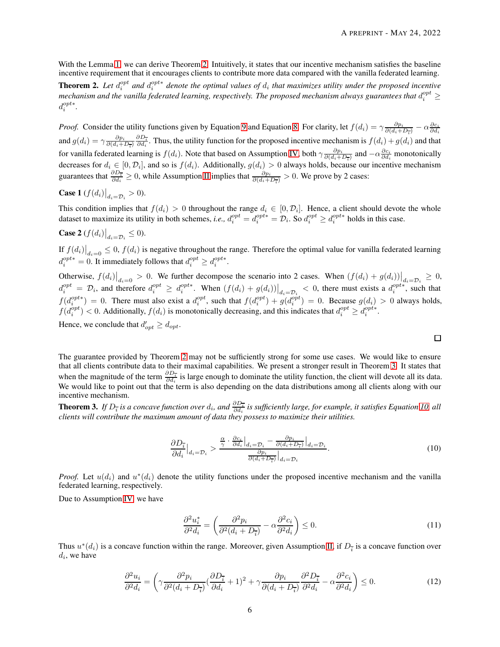With the Lemma [1,](#page-4-2) we can derive Theorem [2.](#page-5-0) Intuitively, it states that our incentive mechanism satisfies the baseline incentive requirement that it encourages clients to contribute more data compared with the vanilla federated learning.

<span id="page-5-0"></span>**Theorem 2.** Let  $d_i^{opt}$  and  $d_i^{opt*}$  denote the optimal values of  $d_i$  that maximizes utility under the proposed incentive mechanism and the vanilla federated learning, respectively. The proposed mechanism always guarantees that  $d_i^{opt}$   $\geq$  $d_i^{opt*}$ .

*Proof.* Consider the utility functions given by Equation [9](#page-4-1) and Equation [8.](#page-3-2) For clarity, let  $f(d_i) = \gamma \frac{\partial p_i}{\partial (d_i + D_{\overline{i}})} - \alpha \frac{\partial c_i}{\partial d_i}$ and  $g(d_i) = \gamma \frac{\partial p_i}{\partial (d_i + D_{\overline{i}})} \frac{\partial D_{\overline{i}}}{\partial d_i}$ . Thus, the utility function for the proposed incentive mechanism is  $f(d_i) + g(d_i)$  and that for vanilla federated learning is  $f(d_i)$ . Note that based on Assumption [IV,](#page-3-3) both  $\gamma \frac{\partial p_i}{\partial (d_i + D_{\overline{i}})}$  and  $-\alpha \frac{\partial c_i}{\partial d_i}$  monotonically decreases for  $d_i \in [0, \mathcal{D}_i]$ , and so is  $f(d_i)$ . Additionally,  $g(d_i) > 0$  always holds, because our incentive mechanism guarantees that  $\frac{\partial D_{\bar{i}}}{\partial d_i} \ge 0$ , while Assumption [II](#page-3-1) implies that  $\frac{\partial p_i}{\partial (d_i + D_{\bar{i}})} > 0$ . We prove by 2 cases:

**Case 1**  $(f(d_i)|_{d_i = D_i} > 0)$ .

This condition implies that  $f(d_i) > 0$  throughout the range  $d_i \in [0, \mathcal{D}_i]$ . Hence, a client should devote the whole dataset to maximize its utility in both schemes, *i.e.*,  $d_i^{opt} = d_i^{opt*} = \mathcal{D}_i$ . So  $d_i^{opt} \ge d_i^{opt*}$  holds in this case.

Case 2 
$$
(f(d_i)|_{d_i = \mathcal{D}_i} \leq 0).
$$

If  $f(d_i)|_{d_i=0} \leq 0$ ,  $f(d_i)$  is negative throughout the range. Therefore the optimal value for vanilla federated learning  $d_i^{opt*} = 0$ . It immediately follows that  $d_i^{opt} \geq d_i^{opt*}$ .

Otherwise,  $f(d_i)|_{d_i=0} > 0$ . We further decompose the scenario into 2 cases. When  $(f(d_i) + g(d_i))|_{d_i=\mathcal{D}_i} \geq 0$ ,  $d_i^{opt} = \mathcal{D}_i$ , and therefore  $d_i^{opt} \geq d_i^{opt*}$ . When  $(f(d_i) + g(d_i))|_{d_i = \mathcal{D}_i} < 0$ , there must exists a  $d_i^{opt*}$ , such that  $f(d_i^{opt*}) = 0$ . There must also exist a  $d_i^{opt}$ , such that  $f(d_i^{opt}) + g(d_i^{opt}) = 0$ . Because  $g(d_i) > 0$  always holds,  $f(d_i^{opt}) < 0$ . Additionally,  $f(d_i)$  is monotonically decreasing, and this indicates that  $d_i^{opt} \geq d_i^{opt*}$ .

Hence, we conclude that  $d'_{opt} \geq d_{opt}$ .

 $\Box$ 

The guarantee provided by Theorem [2](#page-5-0) may not be sufficiently strong for some use cases. We would like to ensure that all clients contribute data to their maximal capabilities. We present a stronger result in Theorem [3.](#page-5-1) It states that when the magnitude of the term  $\frac{\partial D_i^-}{\partial d_i}$  is large enough to dominate the utility function, the client will devote all its data. We would like to point out that the term is also depending on the data distributions among all clients along with our incentive mechanism.

<span id="page-5-2"></span><span id="page-5-1"></span>**Theorem 3.** If  $D_{\bar{i}}$  is a concave function over  $d_i$ , and  $\frac{\partial D_{\bar{i}}}{\partial d_i}$  is sufficiently large, for example, it satisfies Equation [10,](#page-5-2) all *clients will contribute the maximum amount of data they possess to maximize their utilities.*

$$
\frac{\partial D_{\overline{i}}}{\partial d_i}\Big|_{d_i=\mathcal{D}_i} > \frac{\frac{\alpha}{\gamma} \cdot \frac{\partial c_i}{\partial d_i}\Big|_{d_i=\mathcal{D}_i} - \frac{\partial p_i}{\partial (d_i + D_{\overline{i}})}\Big|_{d_i=\mathcal{D}_i}}{\frac{\partial p_i}{\partial (d_i + D_{\overline{i}})}\Big|_{d_i=\mathcal{D}_i}}.\tag{10}
$$

*Proof.* Let  $u(d_i)$  and  $u^*(d_i)$  denote the utility functions under the proposed incentive mechanism and the vanilla federated learning, respectively.

Due to Assumption [IV,](#page-3-3) we have

$$
\frac{\partial^2 u_i^*}{\partial^2 d_i} = \left(\frac{\partial^2 p_i}{\partial^2 (d_i + D_{\overline{i}})} - \alpha \frac{\partial^2 c_i}{\partial^2 d_i}\right) \le 0. \tag{11}
$$

Thus  $u^*(d_i)$  is a concave function within the range. Moreover, given Assumption [II,](#page-3-1) if  $D_{\overline{i}}$  is a concave function over  $d_i$ , we have

$$
\frac{\partial^2 u_i}{\partial^2 d_i} = \left(\gamma \frac{\partial^2 p_i}{\partial^2 (d_i + D_{\overline{i}})} \left(\frac{\partial D_{\overline{i}}}{\partial d_i} + 1\right)^2 + \gamma \frac{\partial p_i}{\partial (d_i + D_{\overline{i}})} \frac{\partial^2 D_{\overline{i}}}{\partial^2 d_i} - \alpha \frac{\partial^2 c_i}{\partial^2 d_i}\right) \le 0.
$$
\n(12)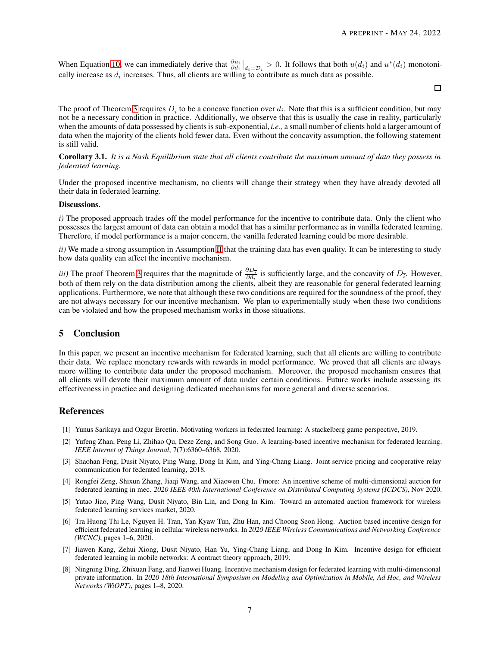When Equation [10,](#page-5-2) we can immediately derive that  $\frac{\partial u_i}{\partial d_i}\Big|_{d_i=\mathcal{D}_i} > 0$ . It follows that both  $u(d_i)$  and  $u^*(d_i)$  monotonically increase as  $d_i$  increases. Thus, all clients are willing to contribute as much data as possible.

 $\Box$ 

The proof of Theorem [3](#page-5-1) requires  $D_{\bar{i}}$  to be a concave function over  $d_i$ . Note that this is a sufficient condition, but may not be a necessary condition in practice. Additionally, we observe that this is usually the case in reality, particularly when the amounts of data possessed by clients is sub-exponential, *i.e.,* a small number of clients hold a larger amount of data when the majority of the clients hold fewer data. Even without the concavity assumption, the following statement is still valid.

### Corollary 3.1. *It is a Nash Equilibrium state that all clients contribute the maximum amount of data they possess in federated learning.*

Under the proposed incentive mechanism, no clients will change their strategy when they have already devoted all their data in federated learning.

### Discussions.

*i*) The proposed approach trades off the model performance for the incentive to contribute data. Only the client who possesses the largest amount of data can obtain a model that has a similar performance as in vanilla federated learning. Therefore, if model performance is a major concern, the vanilla federated learning could be more desirable.

*ii)* We made a strong assumption in Assumption [II](#page-3-1) that the training data has even quality. It can be interesting to study how data quality can affect the incentive mechanism.

*iii)* The proof Theorem [3](#page-5-1) requires that the magnitude of  $\frac{\partial D_{\overline{i}}}{\partial d_i}$  is sufficiently large, and the concavity of  $D_{\overline{i}}$ . However, both of them rely on the data distribution among the clients, albeit they are reasonable for general federated learning applications. Furthermore, we note that although these two conditions are required for the soundness of the proof, they are not always necessary for our incentive mechanism. We plan to experimentally study when these two conditions can be violated and how the proposed mechanism works in those situations.

# 5 Conclusion

In this paper, we present an incentive mechanism for federated learning, such that all clients are willing to contribute their data. We replace monetary rewards with rewards in model performance. We proved that all clients are always more willing to contribute data under the proposed mechanism. Moreover, the proposed mechanism ensures that all clients will devote their maximum amount of data under certain conditions. Future works include assessing its effectiveness in practice and designing dedicated mechanisms for more general and diverse scenarios.

## References

- <span id="page-6-1"></span><span id="page-6-0"></span>[1] Yunus Sarikaya and Ozgur Ercetin. Motivating workers in federated learning: A stackelberg game perspective, 2019.
- [2] Yufeng Zhan, Peng Li, Zhihao Qu, Deze Zeng, and Song Guo. A learning-based incentive mechanism for federated learning. *IEEE Internet of Things Journal*, 7(7):6360–6368, 2020.
- <span id="page-6-2"></span>[3] Shaohan Feng, Dusit Niyato, Ping Wang, Dong In Kim, and Ying-Chang Liang. Joint service pricing and cooperative relay communication for federated learning, 2018.
- <span id="page-6-3"></span>[4] Rongfei Zeng, Shixun Zhang, Jiaqi Wang, and Xiaowen Chu. Fmore: An incentive scheme of multi-dimensional auction for federated learning in mec. *2020 IEEE 40th International Conference on Distributed Computing Systems (ICDCS)*, Nov 2020.
- <span id="page-6-4"></span>[5] Yutao Jiao, Ping Wang, Dusit Niyato, Bin Lin, and Dong In Kim. Toward an automated auction framework for wireless federated learning services market, 2020.
- <span id="page-6-5"></span>[6] Tra Huong Thi Le, Nguyen H. Tran, Yan Kyaw Tun, Zhu Han, and Choong Seon Hong. Auction based incentive design for efficient federated learning in cellular wireless networks. In *2020 IEEE Wireless Communications and Networking Conference (WCNC)*, pages 1–6, 2020.
- <span id="page-6-6"></span>[7] Jiawen Kang, Zehui Xiong, Dusit Niyato, Han Yu, Ying-Chang Liang, and Dong In Kim. Incentive design for efficient federated learning in mobile networks: A contract theory approach, 2019.
- <span id="page-6-7"></span>[8] Ningning Ding, Zhixuan Fang, and Jianwei Huang. Incentive mechanism design for federated learning with multi-dimensional private information. In *2020 18th International Symposium on Modeling and Optimization in Mobile, Ad Hoc, and Wireless Networks (WiOPT)*, pages 1–8, 2020.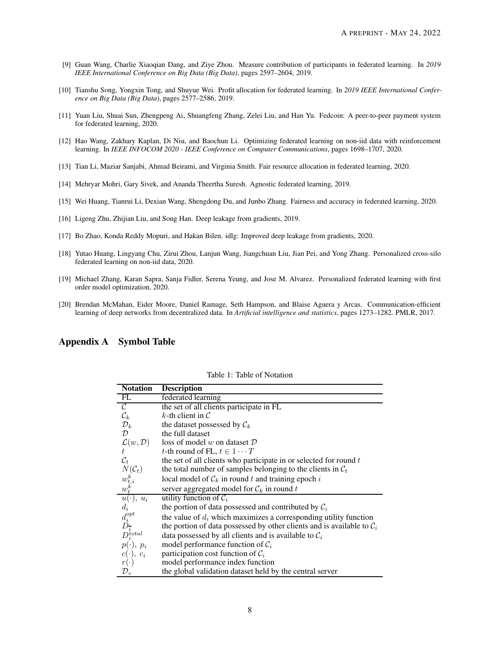- <span id="page-7-0"></span>[9] Guan Wang, Charlie Xiaoqian Dang, and Ziye Zhou. Measure contribution of participants in federated learning. In *2019 IEEE International Conference on Big Data (Big Data)*, pages 2597–2604, 2019.
- <span id="page-7-1"></span>[10] Tianshu Song, Yongxin Tong, and Shuyue Wei. Profit allocation for federated learning. In *2019 IEEE International Conference on Big Data (Big Data)*, pages 2577–2586, 2019.
- <span id="page-7-2"></span>[11] Yuan Liu, Shuai Sun, Zhengpeng Ai, Shuangfeng Zhang, Zelei Liu, and Han Yu. Fedcoin: A peer-to-peer payment system for federated learning, 2020.
- <span id="page-7-3"></span>[12] Hao Wang, Zakhary Kaplan, Di Niu, and Baochun Li. Optimizing federated learning on non-iid data with reinforcement learning. In *IEEE INFOCOM 2020 - IEEE Conference on Computer Communications*, pages 1698–1707, 2020.
- <span id="page-7-5"></span><span id="page-7-4"></span>[13] Tian Li, Maziar Sanjabi, Ahmad Beirami, and Virginia Smith. Fair resource allocation in federated learning, 2020.
- <span id="page-7-6"></span>[14] Mehryar Mohri, Gary Sivek, and Ananda Theertha Suresh. Agnostic federated learning, 2019.
- <span id="page-7-7"></span>[15] Wei Huang, Tianrui Li, Dexian Wang, Shengdong Du, and Junbo Zhang. Fairness and accuracy in federated learning, 2020.
- <span id="page-7-8"></span>[16] Ligeng Zhu, Zhijian Liu, and Song Han. Deep leakage from gradients, 2019.
- <span id="page-7-9"></span>[17] Bo Zhao, Konda Reddy Mopuri, and Hakan Bilen. idlg: Improved deep leakage from gradients, 2020.
- [18] Yutao Huang, Lingyang Chu, Zirui Zhou, Lanjun Wang, Jiangchuan Liu, Jian Pei, and Yong Zhang. Personalized cross-silo federated learning on non-iid data, 2020.
- <span id="page-7-10"></span>[19] Michael Zhang, Karan Sapra, Sanja Fidler, Serena Yeung, and Jose M. Alvarez. Personalized federated learning with first order model optimization, 2020.
- <span id="page-7-11"></span>[20] Brendan McMahan, Eider Moore, Daniel Ramage, Seth Hampson, and Blaise Aguera y Arcas. Communication-efficient learning of deep networks from decentralized data. In *Artificial intelligence and statistics*, pages 1273–1282. PMLR, 2017.

# Appendix A Symbol Table

| <b>Notation</b>                                      | <b>Description</b>                                                       |
|------------------------------------------------------|--------------------------------------------------------------------------|
| FL                                                   | federated learning                                                       |
| $\overline{C}$                                       | the set of all clients participate in FL                                 |
| $\mathcal{C}_k$                                      | k-th client in $\mathcal C$                                              |
| $\mathcal{D}_k$                                      | the dataset possessed by $\mathcal{C}_k$                                 |
| $\mathcal{D}$                                        | the full dataset                                                         |
| $\mathop{\mathcal L}_{t}(w, {\cal D})$               | loss of model w on dataset $D$                                           |
|                                                      | t-th round of FL, $t \in 1 \cdots T$                                     |
| $\mathcal{C}_t$                                      | the set of all clients who participate in or selected for round $t$      |
|                                                      | the total number of samples belonging to the clients in $\mathcal{C}_t$  |
| $N(\mathcal{C}_t) \newline w_{t,i}^k \newline w_t^k$ | local model of $\mathcal{C}_k$ in round t and training epoch i           |
|                                                      | server aggregated model for $\mathcal{C}_k$ in round t                   |
| $u(\cdot), u_i$                                      | utility function of $C_i$                                                |
| $d_i$                                                | the portion of data possessed and contributed by $C_i$                   |
|                                                      | the value of $d_i$ which maximizes a corresponding utility function      |
|                                                      | the portion of data possessed by other clients and is available to $C_i$ |
| $d^{opt}_i \over D_{\overline{i}} \over D^{total}_i$ | data possessed by all clients and is available to $C_i$                  |
| $p(\cdot), p_i$                                      | model performance function of $C_i$                                      |
| $c(\cdot), c_i$                                      | participation cost function of $C_i$                                     |
| $r(\cdot)$                                           | model performance index function                                         |
| $\mathcal{D}_v$                                      | the global validation dataset held by the central server                 |

#### <span id="page-7-12"></span>Table 1: Table of Notation